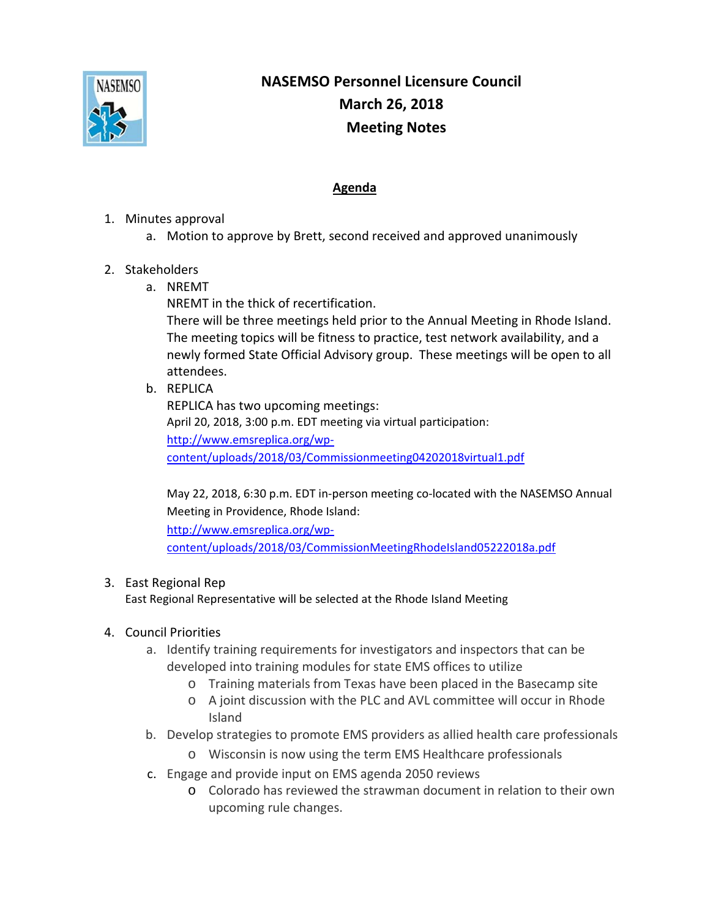

## **NASEMSO Personnel Licensure Council March 26, 2018 Meeting Notes**

## **Agenda**

- 1. Minutes approval
	- a. Motion to approve by Brett, second received and approved unanimously
- 2. Stakeholders
	- a. NREMT
		- NREMT in the thick of recertification.

There will be three meetings held prior to the Annual Meeting in Rhode Island. The meeting topics will be fitness to practice, test network availability, and a newly formed State Official Advisory group. These meetings will be open to all attendees.

b. REPLICA

REPLICA has two upcoming meetings: April 20, 2018, 3:00 p.m. EDT meeting via virtual participation: http://www.emsreplica.org/wp‐ content/uploads/2018/03/Commissionmeeting04202018virtual1.pdf

May 22, 2018, 6:30 p.m. EDT in‐person meeting co‐located with the NASEMSO Annual Meeting in Providence, Rhode Island: http://www.emsreplica.org/wp‐ content/uploads/2018/03/CommissionMeetingRhodeIsland05222018a.pdf

## 3. East Regional Rep

East Regional Representative will be selected at the Rhode Island Meeting

- 4. Council Priorities
	- a. Identify training requirements for investigators and inspectors that can be developed into training modules for state EMS offices to utilize
		- o Training materials from Texas have been placed in the Basecamp site
		- o A joint discussion with the PLC and AVL committee will occur in Rhode Island
	- b. Develop strategies to promote EMS providers as allied health care professionals
		- o Wisconsin is now using the term EMS Healthcare professionals
	- c. Engage and provide input on EMS agenda 2050 reviews
		- o Colorado has reviewed the strawman document in relation to their own upcoming rule changes.